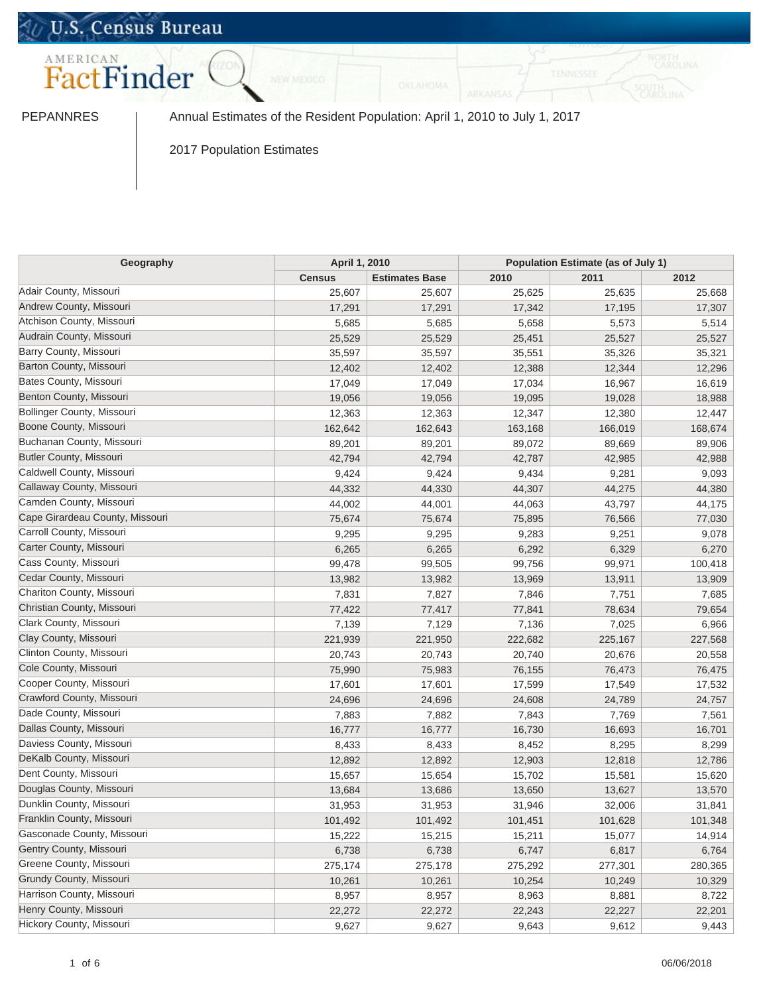# U.S. Census Bureau



PEPANNRES | Annual Estimates of the Resident Population: April 1, 2010 to July 1, 2017

2017 Population Estimates

| Geography                       |               | April 1, 2010         |         | Population Estimate (as of July 1) |         |  |
|---------------------------------|---------------|-----------------------|---------|------------------------------------|---------|--|
|                                 | <b>Census</b> | <b>Estimates Base</b> | 2010    | 2011                               | 2012    |  |
| Adair County, Missouri          | 25,607        | 25,607                | 25,625  | 25,635                             | 25,668  |  |
| Andrew County, Missouri         | 17,291        | 17,291                | 17,342  | 17,195                             | 17,307  |  |
| Atchison County, Missouri       | 5,685         | 5,685                 | 5,658   | 5,573                              | 5,514   |  |
| Audrain County, Missouri        | 25,529        | 25,529                | 25,451  | 25,527                             | 25,527  |  |
| Barry County, Missouri          | 35,597        | 35,597                | 35,551  | 35,326                             | 35,321  |  |
| Barton County, Missouri         | 12,402        | 12,402                | 12,388  | 12,344                             | 12,296  |  |
| Bates County, Missouri          | 17,049        | 17,049                | 17,034  | 16,967                             | 16,619  |  |
| Benton County, Missouri         | 19,056        | 19,056                | 19,095  | 19,028                             | 18,988  |  |
| Bollinger County, Missouri      | 12,363        | 12,363                | 12,347  | 12,380                             | 12,447  |  |
| Boone County, Missouri          | 162,642       | 162,643               | 163,168 | 166,019                            | 168,674 |  |
| Buchanan County, Missouri       | 89,201        | 89,201                | 89,072  | 89,669                             | 89,906  |  |
| <b>Butler County, Missouri</b>  | 42,794        | 42,794                | 42,787  | 42,985                             | 42,988  |  |
| Caldwell County, Missouri       | 9,424         | 9,424                 | 9,434   | 9,281                              | 9,093   |  |
| Callaway County, Missouri       | 44,332        | 44,330                | 44,307  | 44,275                             | 44,380  |  |
| Camden County, Missouri         | 44,002        | 44,001                | 44,063  | 43,797                             | 44,175  |  |
| Cape Girardeau County, Missouri | 75,674        | 75,674                | 75,895  | 76,566                             | 77,030  |  |
| Carroll County, Missouri        | 9,295         | 9,295                 | 9,283   | 9,251                              | 9,078   |  |
| Carter County, Missouri         | 6,265         | 6,265                 | 6,292   | 6,329                              | 6,270   |  |
| Cass County, Missouri           | 99,478        | 99,505                | 99,756  | 99,971                             | 100,418 |  |
| Cedar County, Missouri          | 13,982        | 13,982                | 13,969  | 13,911                             | 13,909  |  |
| Chariton County, Missouri       | 7,831         | 7,827                 | 7,846   | 7,751                              | 7,685   |  |
| Christian County, Missouri      | 77,422        | 77,417                | 77,841  | 78,634                             | 79,654  |  |
| Clark County, Missouri          | 7,139         | 7,129                 | 7,136   | 7,025                              | 6,966   |  |
| Clay County, Missouri           | 221,939       | 221,950               | 222,682 | 225,167                            | 227,568 |  |
| Clinton County, Missouri        | 20,743        | 20,743                | 20,740  | 20,676                             | 20,558  |  |
| Cole County, Missouri           | 75,990        | 75,983                | 76,155  | 76,473                             | 76,475  |  |
| Cooper County, Missouri         | 17,601        | 17,601                | 17,599  | 17,549                             | 17,532  |  |
| Crawford County, Missouri       | 24,696        | 24,696                | 24,608  | 24,789                             | 24,757  |  |
| Dade County, Missouri           | 7,883         | 7,882                 | 7,843   | 7,769                              | 7,561   |  |
| Dallas County, Missouri         | 16,777        | 16,777                | 16,730  | 16,693                             | 16,701  |  |
| Daviess County, Missouri        | 8,433         | 8,433                 | 8,452   | 8,295                              | 8,299   |  |
| DeKalb County, Missouri         | 12,892        | 12,892                | 12,903  | 12,818                             | 12,786  |  |
| Dent County, Missouri           | 15,657        | 15,654                | 15,702  | 15,581                             | 15,620  |  |
| Douglas County, Missouri        | 13,684        | 13,686                | 13,650  | 13,627                             | 13,570  |  |
| Dunklin County, Missouri        | 31,953        | 31,953                | 31,946  | 32,006                             | 31,841  |  |
| Franklin County, Missouri       | 101,492       | 101,492               | 101,451 | 101,628                            | 101,348 |  |
| Gasconade County, Missouri      | 15,222        | 15,215                | 15,211  | 15,077                             | 14,914  |  |
| Gentry County, Missouri         | 6,738         | 6,738                 | 6,747   | 6,817                              | 6,764   |  |
| Greene County, Missouri         | 275,174       | 275,178               | 275,292 | 277,301                            | 280,365 |  |
| Grundy County, Missouri         | 10,261        | 10,261                | 10,254  | 10,249                             | 10,329  |  |
| Harrison County, Missouri       | 8,957         | 8,957                 | 8,963   | 8,881                              | 8,722   |  |
| Henry County, Missouri          | 22,272        | 22,272                | 22,243  | 22,227                             | 22,201  |  |
| Hickory County, Missouri        | 9,627         | 9,627                 | 9,643   | 9,612                              | 9,443   |  |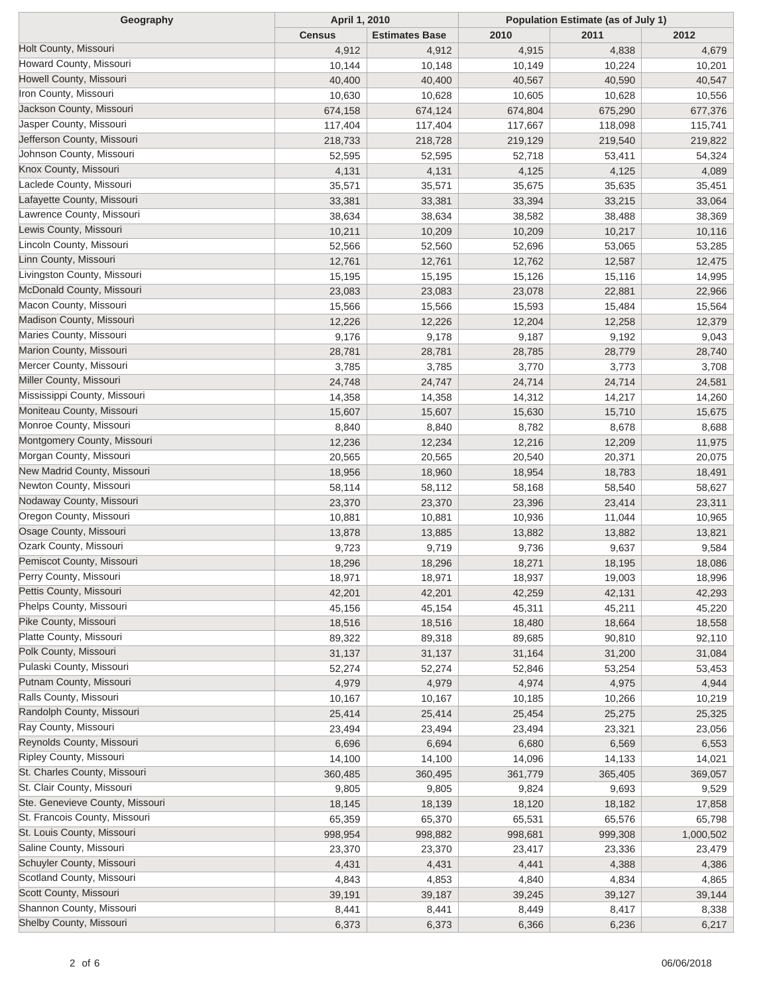| Geography                       | April 1, 2010 |                       | Population Estimate (as of July 1) |         |           |  |
|---------------------------------|---------------|-----------------------|------------------------------------|---------|-----------|--|
|                                 | <b>Census</b> | <b>Estimates Base</b> | 2010                               | 2011    | 2012      |  |
| Holt County, Missouri           | 4,912         | 4,912                 | 4,915                              | 4,838   | 4,679     |  |
| Howard County, Missouri         | 10,144        | 10,148                | 10,149                             | 10,224  | 10,201    |  |
| Howell County, Missouri         | 40,400        | 40,400                | 40,567                             | 40,590  | 40,547    |  |
| Iron County, Missouri           | 10,630        | 10,628                | 10,605                             | 10,628  | 10,556    |  |
| Jackson County, Missouri        | 674,158       | 674,124               | 674,804                            | 675,290 | 677,376   |  |
| Jasper County, Missouri         | 117,404       | 117,404               | 117,667                            | 118,098 | 115,741   |  |
| Jefferson County, Missouri      | 218,733       | 218,728               | 219,129                            | 219,540 | 219,822   |  |
| Johnson County, Missouri        | 52,595        | 52,595                | 52,718                             | 53,411  | 54,324    |  |
| Knox County, Missouri           | 4,131         | 4,131                 | 4,125                              | 4,125   | 4,089     |  |
| Laclede County, Missouri        | 35,571        | 35,571                | 35,675                             | 35,635  | 35,451    |  |
| Lafayette County, Missouri      | 33,381        | 33,381                | 33,394                             | 33,215  | 33,064    |  |
| Lawrence County, Missouri       | 38,634        | 38,634                | 38,582                             | 38,488  | 38,369    |  |
| Lewis County, Missouri          | 10,211        | 10,209                | 10,209                             | 10,217  | 10,116    |  |
| Lincoln County, Missouri        | 52,566        | 52,560                | 52,696                             | 53,065  | 53,285    |  |
| Linn County, Missouri           | 12,761        | 12,761                | 12,762                             | 12,587  | 12,475    |  |
| Livingston County, Missouri     | 15,195        | 15,195                | 15,126                             | 15,116  | 14,995    |  |
| McDonald County, Missouri       | 23,083        | 23,083                | 23,078                             | 22,881  | 22,966    |  |
| Macon County, Missouri          | 15,566        | 15,566                | 15,593                             | 15,484  | 15,564    |  |
| Madison County, Missouri        | 12,226        | 12,226                | 12,204                             | 12,258  | 12,379    |  |
| Maries County, Missouri         | 9,176         | 9,178                 | 9,187                              | 9,192   | 9,043     |  |
| Marion County, Missouri         | 28,781        | 28,781                | 28,785                             | 28,779  | 28,740    |  |
| Mercer County, Missouri         | 3,785         | 3,785                 | 3,770                              | 3,773   | 3,708     |  |
| Miller County, Missouri         | 24,748        | 24,747                | 24,714                             | 24,714  | 24,581    |  |
| Mississippi County, Missouri    | 14,358        | 14,358                | 14,312                             | 14,217  | 14,260    |  |
| Moniteau County, Missouri       | 15,607        | 15,607                | 15,630                             | 15,710  | 15,675    |  |
| Monroe County, Missouri         | 8,840         | 8,840                 | 8,782                              | 8,678   | 8,688     |  |
| Montgomery County, Missouri     | 12,236        | 12,234                | 12,216                             | 12,209  | 11,975    |  |
| Morgan County, Missouri         | 20,565        | 20,565                | 20,540                             | 20,371  | 20,075    |  |
| New Madrid County, Missouri     | 18,956        | 18,960                | 18,954                             | 18,783  | 18,491    |  |
| Newton County, Missouri         | 58,114        | 58,112                | 58,168                             | 58,540  | 58,627    |  |
| Nodaway County, Missouri        | 23,370        | 23,370                | 23,396                             | 23,414  | 23,311    |  |
| Oregon County, Missouri         | 10,881        | 10,881                | 10,936                             | 11,044  | 10,965    |  |
| Osage County, Missouri          | 13,878        | 13,885                | 13,882                             | 13,882  | 13,821    |  |
| Ozark County, Missouri          | 9,723         | 9,719                 | 9,736                              | 9,637   | 9,584     |  |
| Pemiscot County, Missouri       | 18,296        | 18,296                | 18,271                             | 18,195  | 18,086    |  |
| Perry County, Missouri          | 18,971        | 18,971                | 18,937                             | 19,003  | 18,996    |  |
| Pettis County, Missouri         | 42,201        | 42,201                | 42,259                             | 42,131  | 42,293    |  |
| Phelps County, Missouri         | 45,156        | 45,154                | 45,311                             | 45,211  | 45,220    |  |
| Pike County, Missouri           | 18,516        | 18,516                | 18,480                             | 18,664  | 18,558    |  |
| Platte County, Missouri         | 89,322        | 89,318                | 89,685                             | 90,810  | 92,110    |  |
| Polk County, Missouri           | 31,137        | 31,137                | 31,164                             | 31,200  | 31,084    |  |
| Pulaski County, Missouri        | 52,274        | 52,274                | 52,846                             | 53,254  | 53,453    |  |
| Putnam County, Missouri         | 4,979         | 4,979                 | 4,974                              | 4,975   | 4,944     |  |
| Ralls County, Missouri          | 10,167        | 10,167                | 10,185                             | 10,266  | 10,219    |  |
| Randolph County, Missouri       | 25,414        | 25,414                | 25,454                             | 25,275  | 25,325    |  |
| Ray County, Missouri            | 23,494        | 23,494                | 23,494                             | 23,321  | 23,056    |  |
| Reynolds County, Missouri       | 6,696         | 6,694                 | 6,680                              | 6,569   | 6,553     |  |
| Ripley County, Missouri         | 14,100        | 14,100                | 14,096                             | 14,133  | 14,021    |  |
| St. Charles County, Missouri    |               |                       |                                    |         |           |  |
| St. Clair County, Missouri      | 360,485       | 360,495               | 361,779                            | 365,405 | 369,057   |  |
| Ste. Genevieve County, Missouri | 9,805         | 9,805                 | 9,824                              | 9,693   | 9,529     |  |
| St. Francois County, Missouri   | 18,145        | 18,139                | 18,120                             | 18,182  | 17,858    |  |
| St. Louis County, Missouri      | 65,359        | 65,370                | 65,531                             | 65,576  | 65,798    |  |
| Saline County, Missouri         | 998,954       | 998,882               | 998,681                            | 999,308 | 1,000,502 |  |
| Schuyler County, Missouri       | 23,370        | 23,370                | 23,417                             | 23,336  | 23,479    |  |
| Scotland County, Missouri       | 4,431         | 4,431                 | 4,441                              | 4,388   | 4,386     |  |
| Scott County, Missouri          | 4,843         | 4,853                 | 4,840                              | 4,834   | 4,865     |  |
| Shannon County, Missouri        | 39,191        | 39,187                | 39,245                             | 39,127  | 39,144    |  |
| Shelby County, Missouri         | 8,441         | 8,441                 | 8,449                              | 8,417   | 8,338     |  |
|                                 | 6,373         | 6,373                 | 6,366                              | 6,236   | 6,217     |  |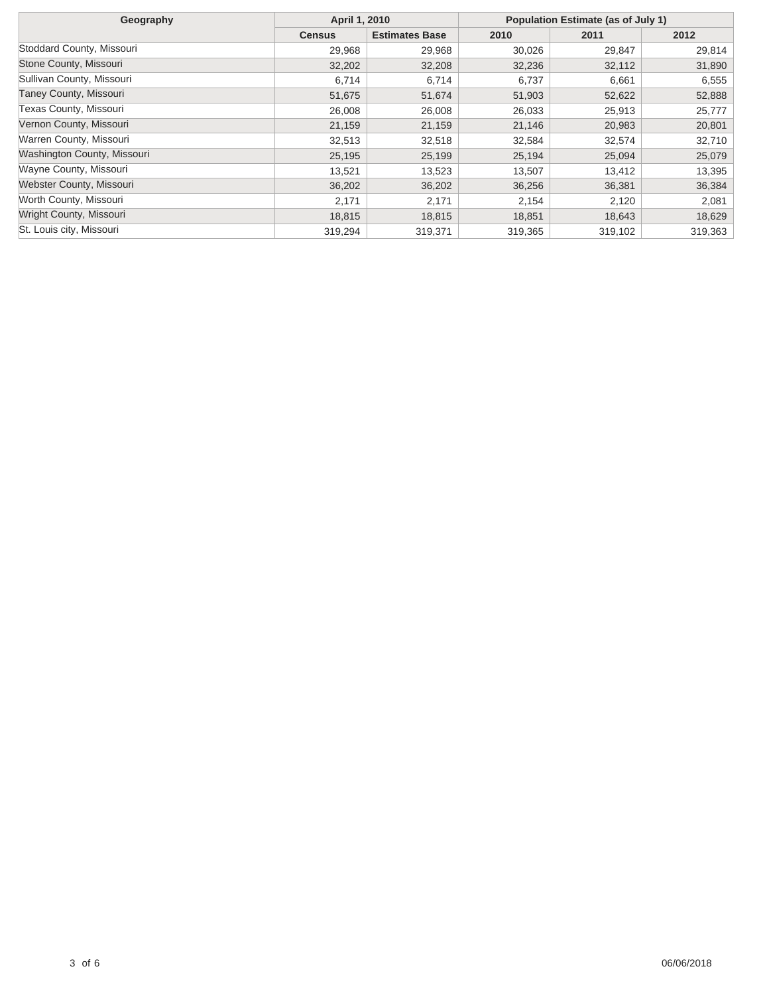| Geography                     | April 1, 2010 |                       | Population Estimate (as of July 1) |         |         |
|-------------------------------|---------------|-----------------------|------------------------------------|---------|---------|
|                               | <b>Census</b> | <b>Estimates Base</b> | 2010                               | 2011    | 2012    |
| Stoddard County, Missouri     | 29,968        | 29,968                | 30,026                             | 29,847  | 29,814  |
| Stone County, Missouri        | 32,202        | 32,208                | 32,236                             | 32,112  | 31,890  |
| Sullivan County, Missouri     | 6,714         | 6,714                 | 6,737                              | 6,661   | 6,555   |
| <b>Taney County, Missouri</b> | 51,675        | 51,674                | 51,903                             | 52,622  | 52,888  |
| Texas County, Missouri        | 26,008        | 26,008                | 26,033                             | 25,913  | 25,777  |
| Vernon County, Missouri       | 21,159        | 21,159                | 21,146                             | 20,983  | 20,801  |
| Warren County, Missouri       | 32,513        | 32,518                | 32,584                             | 32,574  | 32,710  |
| Washington County, Missouri   | 25,195        | 25,199                | 25,194                             | 25,094  | 25,079  |
| Wayne County, Missouri        | 13,521        | 13,523                | 13,507                             | 13,412  | 13,395  |
| Webster County, Missouri      | 36,202        | 36,202                | 36,256                             | 36,381  | 36,384  |
| Worth County, Missouri        | 2,171         | 2,171                 | 2,154                              | 2,120   | 2,081   |
| Wright County, Missouri       | 18,815        | 18,815                | 18,851                             | 18,643  | 18,629  |
| St. Louis city, Missouri      | 319,294       | 319,371               | 319,365                            | 319,102 | 319,363 |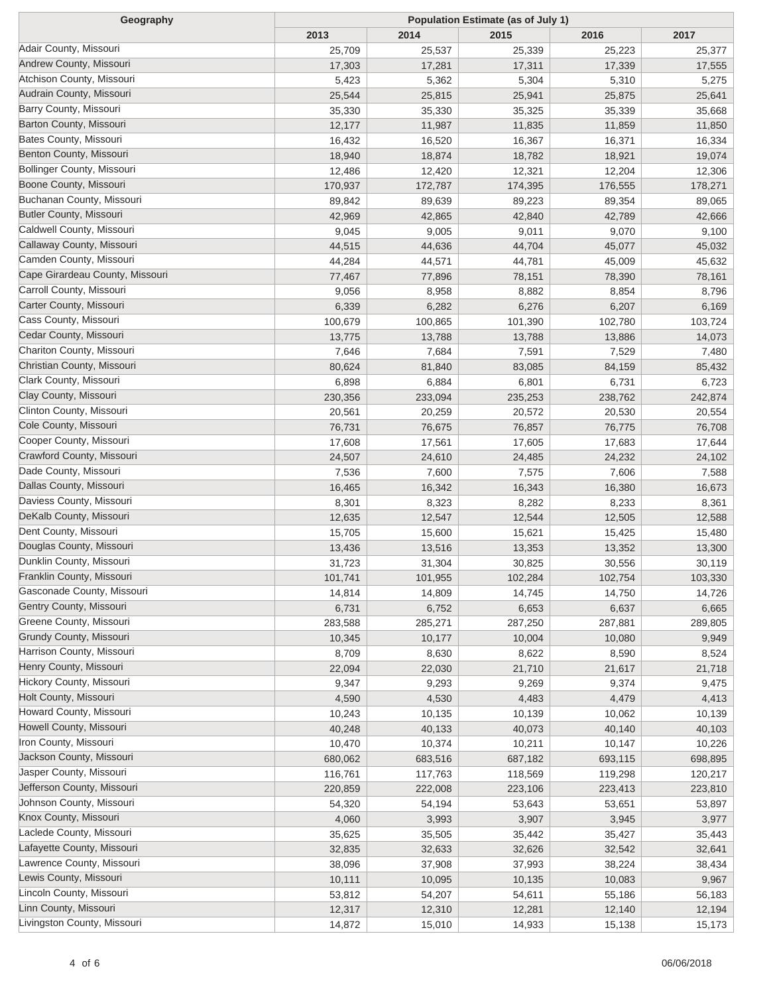| Geography                         | Population Estimate (as of July 1) |                 |         |         |         |  |
|-----------------------------------|------------------------------------|-----------------|---------|---------|---------|--|
|                                   | 2013                               | 2014            | 2015    | 2016    | 2017    |  |
| Adair County, Missouri            | 25,709                             | 25,537          | 25,339  | 25,223  | 25,377  |  |
| Andrew County, Missouri           | 17,303                             | 17,281          | 17,311  | 17,339  | 17,555  |  |
| Atchison County, Missouri         | 5,423                              | 5,362           | 5,304   | 5,310   | 5,275   |  |
| Audrain County, Missouri          | 25,544                             | 25,815          | 25,941  | 25,875  | 25,641  |  |
| Barry County, Missouri            | 35,330                             | 35,330          | 35,325  | 35,339  | 35,668  |  |
| Barton County, Missouri           | 12,177                             | 11,987          | 11,835  | 11,859  | 11,850  |  |
| Bates County, Missouri            | 16,432                             | 16,520          | 16,367  | 16,371  | 16,334  |  |
| Benton County, Missouri           | 18,940                             | 18,874          | 18,782  | 18,921  | 19,074  |  |
| <b>Bollinger County, Missouri</b> | 12,486                             | 12,420          | 12,321  | 12,204  | 12,306  |  |
| Boone County, Missouri            | 170,937                            | 172,787         | 174,395 | 176,555 | 178,271 |  |
| Buchanan County, Missouri         | 89,842                             | 89,639          | 89,223  | 89,354  | 89,065  |  |
| <b>Butler County, Missouri</b>    | 42,969                             | 42,865          | 42,840  | 42,789  | 42,666  |  |
| Caldwell County, Missouri         | 9,045                              | 9,005           | 9,011   | 9,070   | 9,100   |  |
| Callaway County, Missouri         | 44,515                             | 44,636          | 44,704  | 45,077  | 45,032  |  |
| Camden County, Missouri           | 44,284                             | 44,571          | 44,781  | 45,009  | 45,632  |  |
| Cape Girardeau County, Missouri   | 77,467                             | 77,896          | 78,151  | 78,390  | 78,161  |  |
| Carroll County, Missouri          | 9,056                              | 8,958           | 8,882   | 8,854   | 8,796   |  |
| Carter County, Missouri           | 6,339                              | 6,282           | 6,276   | 6,207   | 6,169   |  |
| Cass County, Missouri             | 100,679                            | 100,865         | 101,390 | 102,780 | 103,724 |  |
| Cedar County, Missouri            | 13,775                             | 13,788          | 13,788  | 13,886  | 14,073  |  |
| Chariton County, Missouri         | 7,646                              | 7,684           | 7,591   | 7,529   | 7,480   |  |
| Christian County, Missouri        | 80,624                             | 81,840          | 83,085  | 84,159  | 85,432  |  |
| Clark County, Missouri            | 6,898                              | 6,884           | 6,801   | 6,731   | 6,723   |  |
| Clay County, Missouri             | 230,356                            | 233,094         | 235,253 | 238,762 | 242,874 |  |
| Clinton County, Missouri          | 20,561                             | 20,259          | 20,572  | 20,530  | 20,554  |  |
| Cole County, Missouri             | 76,731                             | 76,675          | 76,857  | 76,775  | 76,708  |  |
| Cooper County, Missouri           | 17,608                             | 17,561          | 17,605  | 17,683  | 17,644  |  |
| Crawford County, Missouri         | 24,507                             | 24,610          | 24,485  | 24,232  | 24,102  |  |
| Dade County, Missouri             | 7,536                              | 7,600           | 7,575   | 7,606   | 7,588   |  |
| Dallas County, Missouri           | 16,465                             | 16,342          | 16,343  | 16,380  | 16,673  |  |
| Daviess County, Missouri          | 8,301                              | 8,323           | 8,282   | 8,233   | 8,361   |  |
| DeKalb County, Missouri           | 12,635                             | 12,547          | 12,544  | 12,505  | 12,588  |  |
| Dent County, Missouri             | 15,705                             | 15,600          | 15,621  | 15,425  | 15,480  |  |
| Douglas County, Missouri          | 13,436                             | 13,516          | 13,353  | 13,352  | 13,300  |  |
| Dunklin County, Missouri          | 31,723                             | 31,304          | 30,825  | 30,556  | 30,119  |  |
| Franklin County, Missouri         | 101,741                            | 101,955         | 102,284 | 102,754 | 103,330 |  |
| Gasconade County, Missouri        | 14,814                             | 14,809          | 14,745  | 14,750  | 14,726  |  |
| Gentry County, Missouri           |                                    | 6,752           |         |         |         |  |
| Greene County, Missouri           | 6,731                              |                 | 6,653   | 6,637   | 6,665   |  |
| Grundy County, Missouri           | 283,588                            | 285,271         | 287,250 | 287,881 | 289,805 |  |
| Harrison County, Missouri         | 10,345<br>8,709                    | 10,177          | 10,004  | 10,080  | 9,949   |  |
| Henry County, Missouri            |                                    | 8,630           | 8,622   | 8,590   | 8,524   |  |
| Hickory County, Missouri          | 22,094                             | 22,030<br>9,293 | 21,710  | 21,617  | 21,718  |  |
| Holt County, Missouri             | 9,347                              |                 | 9,269   | 9,374   | 9,475   |  |
| Howard County, Missouri           | 4,590                              | 4,530           | 4,483   | 4,479   | 4,413   |  |
| Howell County, Missouri           | 10,243                             | 10,135          | 10,139  | 10,062  | 10,139  |  |
| Iron County, Missouri             | 40,248                             | 40,133          | 40,073  | 40,140  | 40,103  |  |
| Jackson County, Missouri          | 10,470                             | 10,374          | 10,211  | 10,147  | 10,226  |  |
| Jasper County, Missouri           | 680,062                            | 683,516         | 687,182 | 693,115 | 698,895 |  |
| Jefferson County, Missouri        | 116,761                            | 117,763         | 118,569 | 119,298 | 120,217 |  |
| Johnson County, Missouri          | 220,859                            | 222,008         | 223,106 | 223,413 | 223,810 |  |
| Knox County, Missouri             | 54,320                             | 54,194          | 53,643  | 53,651  | 53,897  |  |
| Laclede County, Missouri          | 4,060                              | 3,993           | 3,907   | 3,945   | 3,977   |  |
| Lafayette County, Missouri        | 35,625                             | 35,505          | 35,442  | 35,427  | 35,443  |  |
| Lawrence County, Missouri         | 32,835                             | 32,633          | 32,626  | 32,542  | 32,641  |  |
| Lewis County, Missouri            | 38,096                             | 37,908          | 37,993  | 38,224  | 38,434  |  |
|                                   | 10,111                             | 10,095          | 10,135  | 10,083  | 9,967   |  |
| Lincoln County, Missouri          | 53,812                             | 54,207          | 54,611  | 55,186  | 56,183  |  |
| Linn County, Missouri             | 12,317                             | 12,310          | 12,281  | 12,140  | 12,194  |  |
| Livingston County, Missouri       | 14,872                             | 15,010          | 14,933  | 15,138  | 15,173  |  |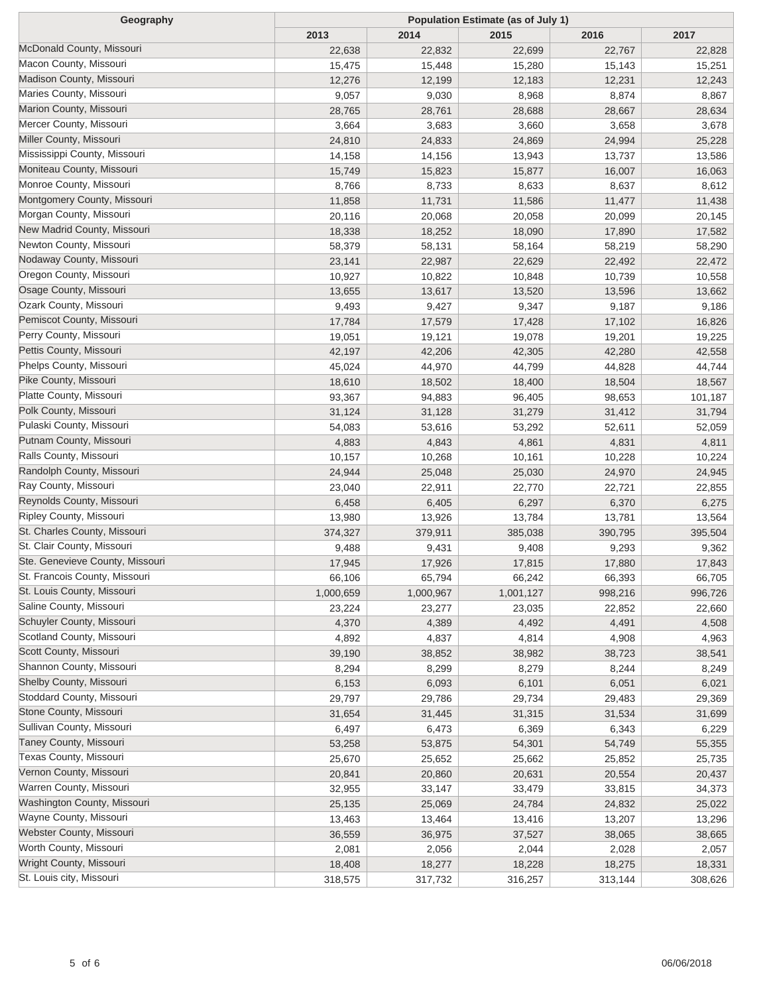| Geography                                             | <b>Population Estimate (as of July 1)</b> |           |           |         |         |  |
|-------------------------------------------------------|-------------------------------------------|-----------|-----------|---------|---------|--|
|                                                       | 2013                                      | 2014      | 2015      | 2016    | 2017    |  |
| McDonald County, Missouri                             | 22,638                                    | 22,832    | 22,699    | 22,767  | 22,828  |  |
| Macon County, Missouri                                | 15,475                                    | 15,448    | 15,280    | 15,143  | 15,251  |  |
| Madison County, Missouri                              | 12,276                                    | 12,199    | 12,183    | 12,231  | 12,243  |  |
| Maries County, Missouri                               | 9,057                                     | 9,030     | 8,968     | 8,874   | 8,867   |  |
| Marion County, Missouri                               | 28,765                                    | 28,761    | 28,688    | 28,667  | 28,634  |  |
| Mercer County, Missouri                               | 3,664                                     | 3,683     | 3,660     | 3,658   | 3,678   |  |
| Miller County, Missouri                               | 24,810                                    | 24,833    | 24,869    | 24,994  | 25,228  |  |
| Mississippi County, Missouri                          | 14,158                                    | 14,156    | 13,943    | 13,737  | 13,586  |  |
| Moniteau County, Missouri                             | 15,749                                    | 15,823    | 15,877    | 16,007  | 16,063  |  |
| Monroe County, Missouri                               | 8,766                                     | 8,733     | 8,633     | 8,637   | 8,612   |  |
| Montgomery County, Missouri                           | 11,858                                    | 11,731    | 11,586    | 11,477  | 11,438  |  |
| Morgan County, Missouri                               | 20,116                                    | 20,068    | 20,058    | 20,099  | 20,145  |  |
| New Madrid County, Missouri                           | 18,338                                    | 18,252    | 18,090    | 17,890  | 17,582  |  |
| Newton County, Missouri                               | 58,379                                    | 58,131    | 58,164    | 58,219  | 58,290  |  |
| Nodaway County, Missouri                              | 23,141                                    | 22,987    | 22,629    | 22,492  | 22,472  |  |
| Oregon County, Missouri                               | 10,927                                    | 10,822    | 10,848    | 10,739  | 10,558  |  |
| Osage County, Missouri                                | 13,655                                    | 13,617    | 13,520    | 13,596  | 13,662  |  |
| Ozark County, Missouri                                | 9,493                                     | 9,427     | 9,347     | 9,187   | 9,186   |  |
| Pemiscot County, Missouri                             | 17,784                                    | 17,579    | 17,428    | 17,102  | 16,826  |  |
| Perry County, Missouri                                | 19,051                                    | 19,121    | 19,078    | 19,201  | 19,225  |  |
| Pettis County, Missouri                               | 42,197                                    | 42,206    | 42,305    | 42,280  | 42,558  |  |
| Phelps County, Missouri                               | 45,024                                    | 44,970    | 44,799    | 44,828  | 44,744  |  |
| Pike County, Missouri                                 | 18,610                                    | 18,502    | 18,400    | 18,504  | 18,567  |  |
| Platte County, Missouri                               | 93,367                                    | 94,883    | 96,405    | 98,653  | 101,187 |  |
| Polk County, Missouri                                 | 31,124                                    | 31,128    | 31,279    | 31,412  | 31,794  |  |
| Pulaski County, Missouri                              | 54,083                                    | 53,616    | 53,292    | 52,611  | 52,059  |  |
| Putnam County, Missouri                               | 4,883                                     | 4,843     | 4,861     | 4,831   | 4,811   |  |
| Ralls County, Missouri                                | 10,157                                    | 10,268    | 10,161    | 10,228  | 10,224  |  |
| Randolph County, Missouri                             | 24,944                                    | 25,048    | 25,030    | 24,970  | 24,945  |  |
| Ray County, Missouri                                  | 23,040                                    | 22,911    | 22,770    | 22,721  | 22,855  |  |
| Reynolds County, Missouri                             | 6,458                                     | 6,405     | 6,297     | 6,370   | 6,275   |  |
| Ripley County, Missouri                               | 13,980                                    | 13,926    | 13,784    | 13,781  | 13,564  |  |
| St. Charles County, Missouri                          | 374,327                                   | 379,911   | 385,038   | 390,795 | 395,504 |  |
| St. Clair County, Missouri                            | 9,488                                     | 9,431     | 9,408     | 9,293   | 9,362   |  |
| Ste. Genevieve County, Missouri                       | 17,945                                    | 17,926    | 17,815    | 17,880  | 17,843  |  |
| St. Francois County, Missouri                         | 66,106                                    | 65,794    | 66,242    | 66,393  | 66,705  |  |
| St. Louis County, Missouri                            | 1,000,659                                 | 1,000,967 | 1,001,127 | 998,216 | 996,726 |  |
| Saline County, Missouri                               |                                           |           |           |         |         |  |
| Schuyler County, Missouri                             | 23,224                                    | 23,277    | 23,035    | 22,852  | 22,660  |  |
| Scotland County, Missouri                             | 4,370                                     | 4,389     | 4,492     | 4,491   | 4,508   |  |
| Scott County, Missouri                                | 4,892                                     | 4,837     | 4,814     | 4,908   | 4,963   |  |
| Shannon County, Missouri                              | 39,190                                    | 38,852    | 38,982    | 38,723  | 38,541  |  |
| Shelby County, Missouri                               | 8,294                                     | 8,299     | 8,279     | 8,244   | 8,249   |  |
| Stoddard County, Missouri                             | 6,153                                     | 6,093     | 6,101     | 6,051   | 6,021   |  |
| Stone County, Missouri                                | 29,797                                    | 29,786    | 29,734    | 29,483  | 29,369  |  |
| Sullivan County, Missouri                             | 31,654                                    | 31,445    | 31,315    | 31,534  | 31,699  |  |
| Taney County, Missouri                                | 6,497                                     | 6,473     | 6,369     | 6,343   | 6,229   |  |
| Texas County, Missouri                                | 53,258                                    | 53,875    | 54,301    | 54,749  | 55,355  |  |
| Vernon County, Missouri                               | 25,670                                    | 25,652    | 25,662    | 25,852  | 25,735  |  |
| Warren County, Missouri                               | 20,841                                    | 20,860    | 20,631    | 20,554  | 20,437  |  |
|                                                       | 32,955                                    | 33,147    | 33,479    | 33,815  | 34,373  |  |
| Washington County, Missouri<br>Wayne County, Missouri | 25,135                                    | 25,069    | 24,784    | 24,832  | 25,022  |  |
|                                                       | 13,463                                    | 13,464    | 13,416    | 13,207  | 13,296  |  |
| Webster County, Missouri                              | 36,559                                    | 36,975    | 37,527    | 38,065  | 38,665  |  |
| Worth County, Missouri                                | 2,081                                     | 2,056     | 2,044     | 2,028   | 2,057   |  |
| Wright County, Missouri                               | 18,408                                    | 18,277    | 18,228    | 18,275  | 18,331  |  |
| St. Louis city, Missouri                              | 318,575                                   | 317,732   | 316,257   | 313,144 | 308,626 |  |